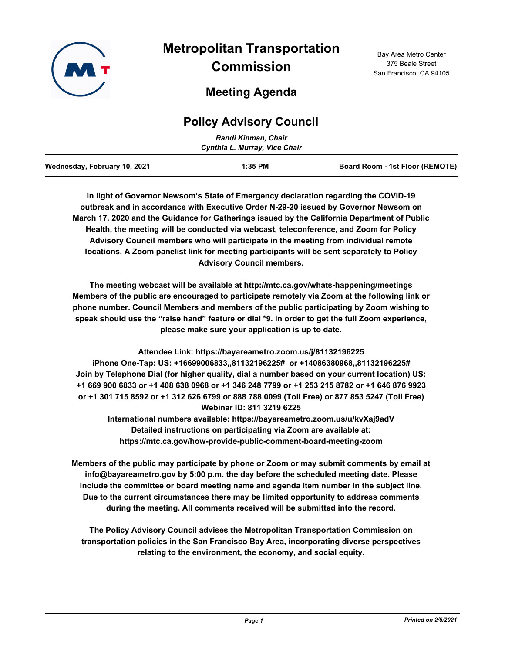

# **Metropolitan Transportation Commission**

## **Meeting Agenda**

### **Policy Advisory Council**

|                              | Randi Kinman, Chair<br>Cynthia L. Murray, Vice Chair |                                 |
|------------------------------|------------------------------------------------------|---------------------------------|
| Wednesday, February 10, 2021 | $1:35$ PM                                            | Board Room - 1st Floor (REMOTE) |

**In light of Governor Newsom's State of Emergency declaration regarding the COVID-19 outbreak and in accordance with Executive Order N-29-20 issued by Governor Newsom on March 17, 2020 and the Guidance for Gatherings issued by the California Department of Public Health, the meeting will be conducted via webcast, teleconference, and Zoom for Policy Advisory Council members who will participate in the meeting from individual remote locations. A Zoom panelist link for meeting participants will be sent separately to Policy Advisory Council members.**

**The meeting webcast will be available at http://mtc.ca.gov/whats-happening/meetings Members of the public are encouraged to participate remotely via Zoom at the following link or phone number. Council Members and members of the public participating by Zoom wishing to speak should use the "raise hand" feature or dial \*9. In order to get the full Zoom experience, please make sure your application is up to date.**

**Attendee Link: https://bayareametro.zoom.us/j/81132196225 iPhone One-Tap: US: +16699006833,,81132196225# or +14086380968,,81132196225# Join by Telephone Dial (for higher quality, dial a number based on your current location) US: +1 669 900 6833 or +1 408 638 0968 or +1 346 248 7799 or +1 253 215 8782 or +1 646 876 9923 or +1 301 715 8592 or +1 312 626 6799 or 888 788 0099 (Toll Free) or 877 853 5247 (Toll Free) Webinar ID: 811 3219 6225**

**International numbers available: https://bayareametro.zoom.us/u/kvXaj9adV Detailed instructions on participating via Zoom are available at: https://mtc.ca.gov/how-provide-public-comment-board-meeting-zoom**

**Members of the public may participate by phone or Zoom or may submit comments by email at info@bayareametro.gov by 5:00 p.m. the day before the scheduled meeting date. Please include the committee or board meeting name and agenda item number in the subject line. Due to the current circumstances there may be limited opportunity to address comments during the meeting. All comments received will be submitted into the record.**

**The Policy Advisory Council advises the Metropolitan Transportation Commission on transportation policies in the San Francisco Bay Area, incorporating diverse perspectives relating to the environment, the economy, and social equity.**

Bay Area Metro Center 375 Beale Street San Francisco, CA 94105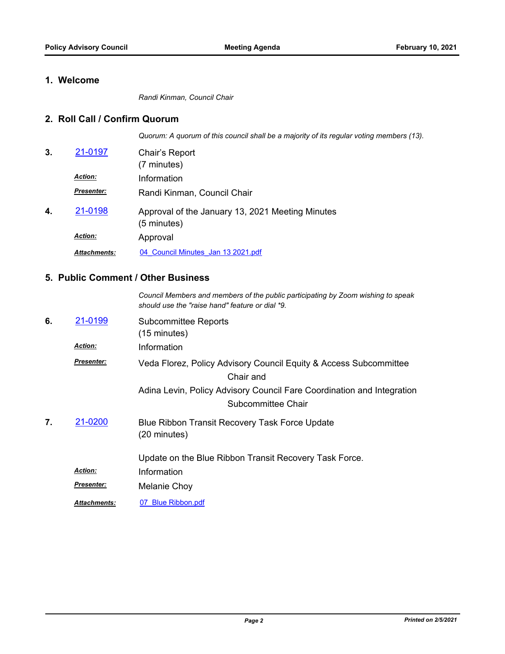#### **1. Welcome**

*Randi Kinman, Council Chair*

#### **2. Roll Call / Confirm Quorum**

*Quorum: A quorum of this council shall be a majority of its regular voting members (13).*

| 3. | 21-0197             | Chair's Report<br>(7 minutes)                                   |
|----|---------------------|-----------------------------------------------------------------|
|    | <b>Action:</b>      | Information                                                     |
|    | <b>Presenter:</b>   | Randi Kinman, Council Chair                                     |
| 4. | 21-0198             | Approval of the January 13, 2021 Meeting Minutes<br>(5 minutes) |
|    | <b>Action:</b>      | Approval                                                        |
|    | <b>Attachments:</b> | 04 Council Minutes Jan 13 2021.pdf                              |

#### **5. Public Comment / Other Business**

|    |                     | Council Members and members of the public participating by Zoom wishing to speak<br>should use the "raise hand" feature or dial *9. |
|----|---------------------|-------------------------------------------------------------------------------------------------------------------------------------|
| 6. | 21-0199             | <b>Subcommittee Reports</b><br>$(15 \text{ minutes})$                                                                               |
|    | <b>Action:</b>      | Information                                                                                                                         |
|    | <b>Presenter:</b>   | Veda Florez, Policy Advisory Council Equity & Access Subcommittee<br>Chair and                                                      |
|    |                     | Adina Levin, Policy Advisory Council Fare Coordination and Integration<br>Subcommittee Chair                                        |
| 7. | 21-0200             | Blue Ribbon Transit Recovery Task Force Update<br>(20 minutes)                                                                      |
|    |                     | Update on the Blue Ribbon Transit Recovery Task Force.                                                                              |
|    | <b>Action:</b>      | Information                                                                                                                         |
|    | <b>Presenter:</b>   | Melanie Choy                                                                                                                        |
|    | <b>Attachments:</b> | 07 Blue Ribbon.pdf                                                                                                                  |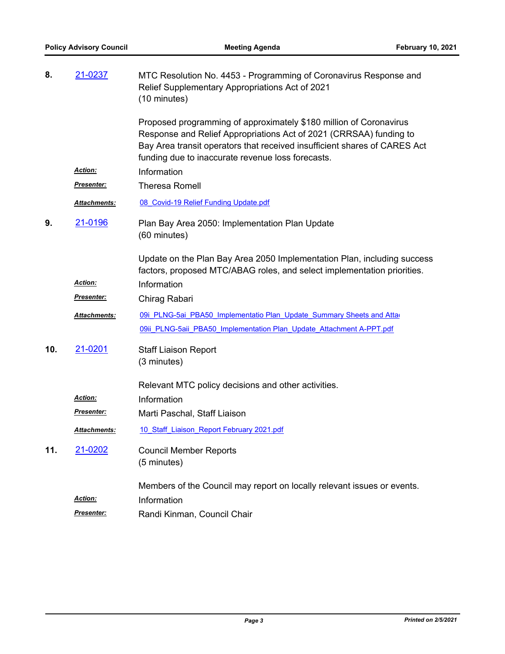| 8.  | 21-0237             | MTC Resolution No. 4453 - Programming of Coronavirus Response and<br>Relief Supplementary Appropriations Act of 2021<br>(10 minutes)                                                                                                                                       |
|-----|---------------------|----------------------------------------------------------------------------------------------------------------------------------------------------------------------------------------------------------------------------------------------------------------------------|
|     |                     | Proposed programming of approximately \$180 million of Coronavirus<br>Response and Relief Appropriations Act of 2021 (CRRSAA) funding to<br>Bay Area transit operators that received insufficient shares of CARES Act<br>funding due to inaccurate revenue loss forecasts. |
|     | Action:             | Information                                                                                                                                                                                                                                                                |
|     | <u>Presenter:</u>   | <b>Theresa Romell</b>                                                                                                                                                                                                                                                      |
|     | Attachments:        | 08 Covid-19 Relief Funding Update.pdf                                                                                                                                                                                                                                      |
| 9.  | 21-0196             | Plan Bay Area 2050: Implementation Plan Update<br>(60 minutes)                                                                                                                                                                                                             |
|     |                     | Update on the Plan Bay Area 2050 Implementation Plan, including success<br>factors, proposed MTC/ABAG roles, and select implementation priorities.                                                                                                                         |
|     | <b>Action:</b>      | Information                                                                                                                                                                                                                                                                |
|     | Presenter:          | Chirag Rabari                                                                                                                                                                                                                                                              |
|     | <b>Attachments:</b> | 09i PLNG-5ai PBA50 Implementatio Plan Update Summary Sheets and Atta                                                                                                                                                                                                       |
|     |                     | 09ii PLNG-5aii PBA50 Implementation Plan Update Attachment A-PPT.pdf                                                                                                                                                                                                       |
| 10. | 21-0201             | <b>Staff Liaison Report</b>                                                                                                                                                                                                                                                |
|     |                     | (3 minutes)                                                                                                                                                                                                                                                                |
|     |                     | Relevant MTC policy decisions and other activities.                                                                                                                                                                                                                        |
|     | <b>Action:</b>      | Information                                                                                                                                                                                                                                                                |
|     | Presenter:          | Marti Paschal, Staff Liaison                                                                                                                                                                                                                                               |
|     | Attachments:        | 10 Staff Liaison Report February 2021.pdf                                                                                                                                                                                                                                  |
| 11. | <u>21-0202</u>      | <b>Council Member Reports</b><br>(5 minutes)                                                                                                                                                                                                                               |
|     | <b>Action:</b>      | Members of the Council may report on locally relevant issues or events.<br>Information                                                                                                                                                                                     |
|     | <u>Presenter:</u>   | Randi Kinman, Council Chair                                                                                                                                                                                                                                                |
|     |                     |                                                                                                                                                                                                                                                                            |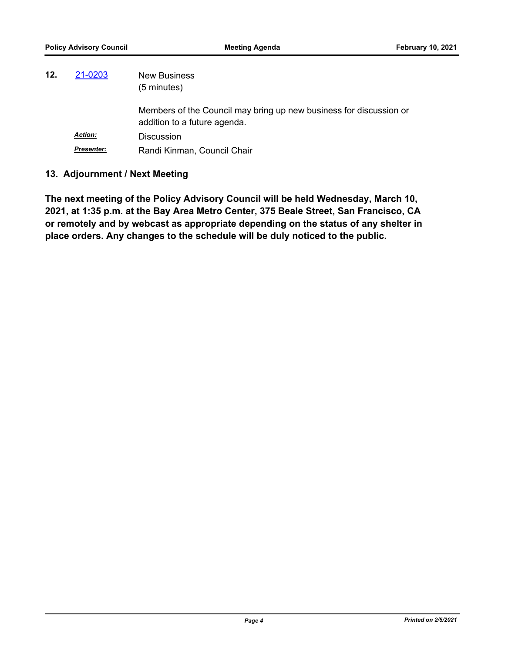| 12. | 21-0203           | <b>New Business</b><br>$(5 \text{ minutes})$                                                       |
|-----|-------------------|----------------------------------------------------------------------------------------------------|
|     |                   | Members of the Council may bring up new business for discussion or<br>addition to a future agenda. |
|     | <b>Action:</b>    | <b>Discussion</b>                                                                                  |
|     | <b>Presenter:</b> | Randi Kinman, Council Chair                                                                        |

#### **13. Adjournment / Next Meeting**

**The next meeting of the Policy Advisory Council will be held Wednesday, March 10, 2021, at 1:35 p.m. at the Bay Area Metro Center, 375 Beale Street, San Francisco, CA or remotely and by webcast as appropriate depending on the status of any shelter in place orders. Any changes to the schedule will be duly noticed to the public.**